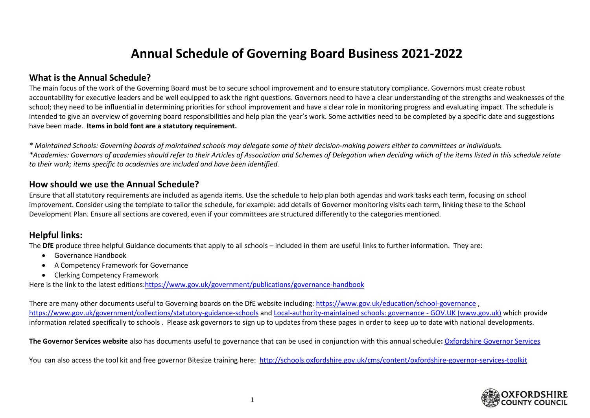## **Annual Schedule of Governing Board Business 2021-2022**

## **What is the Annual Schedule?**

The main focus of the work of the Governing Board must be to secure school improvement and to ensure statutory compliance. Governors must create robust accountability for executive leaders and be well equipped to ask the right questions. Governors need to have a clear understanding of the strengths and weaknesses of the school; they need to be influential in determining priorities for school improvement and have a clear role in monitoring progress and evaluating impact. The schedule is intended to give an overview of governing board responsibilities and help plan the year's work. Some activities need to be completed by a specific date and suggestions have been made. **Items in bold font are a statutory requirement.**

*\* Maintained Schools: Governing boards of maintained schools may delegate some of their decision-making powers either to committees or individuals. \*Academies: Governors of academies should refer to their Articles of Association and Schemes of Delegation when deciding which of the items listed in this schedule relate to their work; items specific to academies are included and have been identified.*

## **How should we use the Annual Schedule?**

Ensure that all statutory requirements are included as agenda items. Use the schedule to help plan both agendas and work tasks each term, focusing on school improvement. Consider using the template to tailor the schedule, for example: add details of Governor monitoring visits each term, linking these to the School Development Plan. Ensure all sections are covered, even if your committees are structured differently to the categories mentioned.

## **Helpful links:**

The **DfE** produce three helpful Guidance documents that apply to all schools – included in them are useful links to further information. They are:

- Governance Handbook
- A Competency Framework for Governance
- Clerking Competency Framework

Here is the link to the latest editions[:https://www.gov.uk/government/publications/governance-handbook](https://www.gov.uk/government/publications/governance-handbook)

There are many other documents useful to Governing boards on the DfE website including: <https://www.gov.uk/education/school-governance> , <https://www.gov.uk/government/collections/statutory-guidance-schools> an[d Local-authority-maintained schools: governance -](https://www.gov.uk/government/collections/local-authority-maintained-schools-governance#statutory-guidance-and-requirements) GOV.UK (www.gov.uk) which provide information related specifically to schools . Please ask governors to sign up to updates from these pages in order to keep up to date with national developments.

**The Governor Services website** also has documents useful to governance that can be used in conjunction with this annual schedule**:** [Oxfordshire Governor Services](http://schools.oxfordshire.gov.uk/cms/node/374)

You can also access the tool kit and free governor Bitesize training here: <http://schools.oxfordshire.gov.uk/cms/content/oxfordshire-governor-services-toolkit>

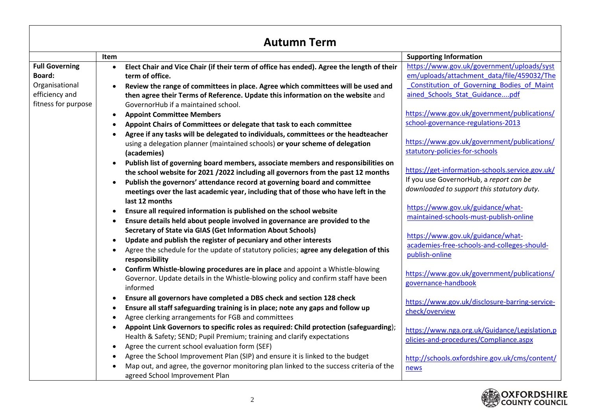| <b>Autumn Term</b>    |                                                                                                        |                                                  |  |
|-----------------------|--------------------------------------------------------------------------------------------------------|--------------------------------------------------|--|
|                       | Item                                                                                                   | <b>Supporting Information</b>                    |  |
| <b>Full Governing</b> | Elect Chair and Vice Chair (if their term of office has ended). Agree the length of their<br>$\bullet$ | https://www.gov.uk/government/uploads/syst       |  |
| Board:                | term of office.                                                                                        | em/uploads/attachment data/file/459032/The       |  |
| Organisational        | Review the range of committees in place. Agree which committees will be used and                       | <b>Constitution of Governing Bodies of Maint</b> |  |
| efficiency and        | then agree their Terms of Reference. Update this information on the website and                        | ained Schools Stat Guidancepdf                   |  |
| fitness for purpose   | GovernorHub if a maintained school.                                                                    |                                                  |  |
|                       | <b>Appoint Committee Members</b>                                                                       | https://www.gov.uk/government/publications/      |  |
|                       | Appoint Chairs of Committees or delegate that task to each committee                                   | school-governance-regulations-2013               |  |
|                       | Agree if any tasks will be delegated to individuals, committees or the headteacher                     | https://www.gov.uk/government/publications/      |  |
|                       | using a delegation planner (maintained schools) or your scheme of delegation                           | statutory-policies-for-schools                   |  |
|                       | (academies)                                                                                            |                                                  |  |
|                       | Publish list of governing board members, associate members and responsibilities on                     | https://get-information-schools.service.gov.uk/  |  |
|                       | the school website for 2021 / 2022 including all governors from the past 12 months                     | If you use GovernorHub, a report can be          |  |
|                       | Publish the governors' attendance record at governing board and committee                              | downloaded to support this statutory duty.       |  |
|                       | meetings over the last academic year, including that of those who have left in the<br>last 12 months   |                                                  |  |
|                       | Ensure all required information is published on the school website<br>$\bullet$                        | https://www.gov.uk/guidance/what-                |  |
|                       | Ensure details held about people involved in governance are provided to the                            | maintained-schools-must-publish-online           |  |
|                       | Secretary of State via GIAS (Get Information About Schools)                                            |                                                  |  |
|                       | Update and publish the register of pecuniary and other interests                                       | https://www.gov.uk/guidance/what-                |  |
|                       | Agree the schedule for the update of statutory policies; agree any delegation of this<br>$\bullet$     | academies-free-schools-and-colleges-should-      |  |
|                       | responsibility                                                                                         | publish-online                                   |  |
|                       | Confirm Whistle-blowing procedures are in place and appoint a Whistle-blowing                          |                                                  |  |
|                       | Governor. Update details in the Whistle-blowing policy and confirm staff have been                     | https://www.gov.uk/government/publications/      |  |
|                       | informed                                                                                               | governance-handbook                              |  |
|                       | Ensure all governors have completed a DBS check and section 128 check<br>$\bullet$                     | https://www.gov.uk/disclosure-barring-service-   |  |
|                       | Ensure all staff safeguarding training is in place; note any gaps and follow up<br>$\bullet$           | check/overview                                   |  |
|                       | Agree clerking arrangements for FGB and committees                                                     |                                                  |  |
|                       | Appoint Link Governors to specific roles as required: Child protection (safeguarding);                 | https://www.nga.org.uk/Guidance/Legislation,p    |  |
|                       | Health & Safety; SEND; Pupil Premium; training and clarify expectations                                | olicies-and-procedures/Compliance.aspx           |  |
|                       | Agree the current school evaluation form (SEF)                                                         |                                                  |  |
|                       | Agree the School Improvement Plan (SIP) and ensure it is linked to the budget                          | http://schools.oxfordshire.gov.uk/cms/content/   |  |
|                       | Map out, and agree, the governor monitoring plan linked to the success criteria of the                 | news                                             |  |
|                       | agreed School Improvement Plan                                                                         |                                                  |  |



ा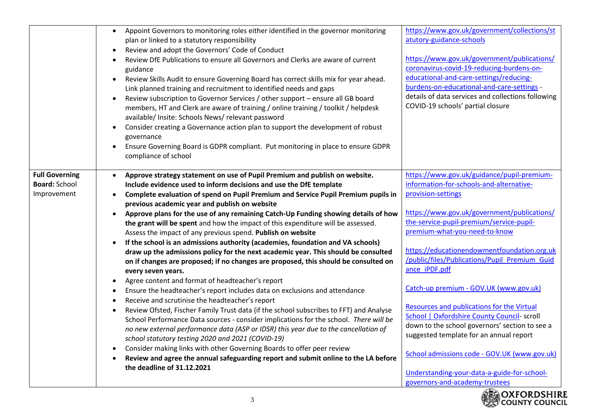|                                                              | Appoint Governors to monitoring roles either identified in the governor monitoring<br>$\bullet$<br>plan or linked to a statutory responsibility<br>Review and adopt the Governors' Code of Conduct<br>$\bullet$<br>Review DfE Publications to ensure all Governors and Clerks are aware of current<br>$\bullet$<br>guidance<br>Review Skills Audit to ensure Governing Board has correct skills mix for year ahead.<br>$\bullet$<br>Link planned training and recruitment to identified needs and gaps<br>Review subscription to Governor Services / other support - ensure all GB board<br>$\bullet$<br>members, HT and Clerk are aware of training / online training / toolkit / helpdesk<br>available/ Insite: Schools News/ relevant password<br>Consider creating a Governance action plan to support the development of robust<br>governance                                                  | https://www.gov.uk/government/collections/st<br>atutory-guidance-schools<br>https://www.gov.uk/government/publications/<br>coronavirus-covid-19-reducing-burdens-on-<br>educational-and-care-settings/reducing-<br>burdens-on-educational-and-care-settings -<br>details of data services and collections following<br>COVID-19 schools' partial closure                 |
|--------------------------------------------------------------|-----------------------------------------------------------------------------------------------------------------------------------------------------------------------------------------------------------------------------------------------------------------------------------------------------------------------------------------------------------------------------------------------------------------------------------------------------------------------------------------------------------------------------------------------------------------------------------------------------------------------------------------------------------------------------------------------------------------------------------------------------------------------------------------------------------------------------------------------------------------------------------------------------|--------------------------------------------------------------------------------------------------------------------------------------------------------------------------------------------------------------------------------------------------------------------------------------------------------------------------------------------------------------------------|
|                                                              | Ensure Governing Board is GDPR compliant. Put monitoring in place to ensure GDPR<br>$\bullet$<br>compliance of school                                                                                                                                                                                                                                                                                                                                                                                                                                                                                                                                                                                                                                                                                                                                                                               |                                                                                                                                                                                                                                                                                                                                                                          |
| <b>Full Governing</b><br><b>Board: School</b><br>Improvement | Approve strategy statement on use of Pupil Premium and publish on website.<br>Include evidence used to inform decisions and use the DfE template<br>Complete evaluation of spend on Pupil Premium and Service Pupil Premium pupils in<br>previous academic year and publish on website<br>Approve plans for the use of any remaining Catch-Up Funding showing details of how<br>$\bullet$<br>the grant will be spent and how the impact of this expenditure will be assessed.<br>Assess the impact of any previous spend. Publish on website<br>If the school is an admissions authority (academies, foundation and VA schools)<br>draw up the admissions policy for the next academic year. This should be consulted<br>on if changes are proposed; if no changes are proposed, this should be consulted on<br>every seven years.<br>Agree content and format of headteacher's report<br>$\bullet$ | https://www.gov.uk/guidance/pupil-premium-<br>information-for-schools-and-alternative-<br>provision-settings<br>https://www.gov.uk/government/publications/<br>the-service-pupil-premium/service-pupil-<br>premium-what-you-need-to-know<br>https://educationendowmentfoundation.org.uk<br>/public/files/Publications/Pupil Premium Guid<br>ance iPDF.pdf                |
|                                                              | Ensure the headteacher's report includes data on exclusions and attendance<br>$\bullet$<br>Receive and scrutinise the headteacher's report<br>$\bullet$<br>Review Ofsted, Fischer Family Trust data (if the school subscribes to FFT) and Analyse<br>$\bullet$<br>School Performance Data sources - consider implications for the school. There will be<br>no new external performance data (ASP or IDSR) this year due to the cancellation of<br>school statutory testing 2020 and 2021 (COVID-19)<br>Consider making links with other Governing Boards to offer peer review<br>$\bullet$<br>Review and agree the annual safeguarding report and submit online to the LA before<br>$\bullet$<br>the deadline of 31.12.2021                                                                                                                                                                         | Catch-up premium - GOV.UK (www.gov.uk)<br>Resources and publications for the Virtual<br><b>School   Oxfordshire County Council- scroll</b><br>down to the school governors' section to see a<br>suggested template for an annual report<br>School admissions code - GOV.UK (www.gov.uk)<br>Understanding-your-data-a-guide-for-school-<br>governors-and-academy-trustees |

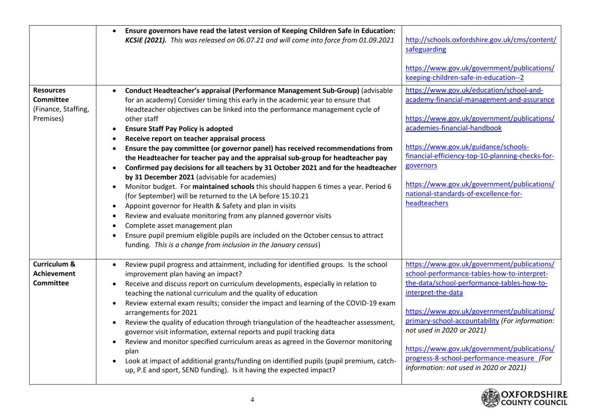|                                                                          | Ensure governors have read the latest version of Keeping Children Safe in Education:<br>KCSiE (2021). This was released on 06.07.21 and will come into force from 01.09.2021                                                                                                                                                                                                                                                                                                                                                                                                                                                                                                                                                                                                                                                                                                                                                                                                                                                                                                                                                                          | http://schools.oxfordshire.gov.uk/cms/content/<br>safeguarding<br>https://www.gov.uk/government/publications/<br>keeping-children-safe-in-education--2                                                                                                                                                                                                                                                                               |
|--------------------------------------------------------------------------|-------------------------------------------------------------------------------------------------------------------------------------------------------------------------------------------------------------------------------------------------------------------------------------------------------------------------------------------------------------------------------------------------------------------------------------------------------------------------------------------------------------------------------------------------------------------------------------------------------------------------------------------------------------------------------------------------------------------------------------------------------------------------------------------------------------------------------------------------------------------------------------------------------------------------------------------------------------------------------------------------------------------------------------------------------------------------------------------------------------------------------------------------------|--------------------------------------------------------------------------------------------------------------------------------------------------------------------------------------------------------------------------------------------------------------------------------------------------------------------------------------------------------------------------------------------------------------------------------------|
| <b>Resources</b><br><b>Committee</b><br>(Finance, Staffing,<br>Premises) | Conduct Headteacher's appraisal (Performance Management Sub-Group) (advisable<br>for an academy) Consider timing this early in the academic year to ensure that<br>Headteacher objectives can be linked into the performance management cycle of<br>other staff<br><b>Ensure Staff Pay Policy is adopted</b><br>Receive report on teacher appraisal process<br>Ensure the pay committee (or governor panel) has received recommendations from<br>the Headteacher for teacher pay and the appraisal sub-group for headteacher pay<br>Confirmed pay decisions for all teachers by 31 October 2021 and for the headteacher<br>by 31 December 2021 (advisable for academies)<br>Monitor budget. For maintained schools this should happen 6 times a year. Period 6<br>(for September) will be returned to the LA before 15.10.21<br>Appoint governor for Health & Safety and plan in visits<br>Review and evaluate monitoring from any planned governor visits<br>Complete asset management plan<br>Ensure pupil premium eligible pupils are included on the October census to attract<br>funding. This is a change from inclusion in the January census) | https://www.gov.uk/education/school-and-<br>academy-financial-management-and-assurance<br>https://www.gov.uk/government/publications/<br>academies-financial-handbook<br>https://www.gov.uk/guidance/schools-<br>financial-efficiency-top-10-planning-checks-for-<br>governors<br>https://www.gov.uk/government/publications/<br>national-standards-of-excellence-for-<br>headteachers                                               |
| <b>Curriculum &amp;</b><br><b>Achievement</b><br><b>Committee</b>        | Review pupil progress and attainment, including for identified groups. Is the school<br>improvement plan having an impact?<br>Receive and discuss report on curriculum developments, especially in relation to<br>teaching the national curriculum and the quality of education<br>Review external exam results; consider the impact and learning of the COVID-19 exam<br>arrangements for 2021<br>Review the quality of education through triangulation of the headteacher assessment,<br>governor visit information, external reports and pupil tracking data<br>Review and monitor specified curriculum areas as agreed in the Governor monitoring<br>plan<br>Look at impact of additional grants/funding on identified pupils (pupil premium, catch-<br>up, P.E and sport, SEND funding). Is it having the expected impact?                                                                                                                                                                                                                                                                                                                       | https://www.gov.uk/government/publications/<br>school-performance-tables-how-to-interpret-<br>the-data/school-performance-tables-how-to-<br>interpret-the-data<br>https://www.gov.uk/government/publications/<br>primary-school-accountability (For information:<br>not used in 2020 or 2021)<br>https://www.gov.uk/government/publications/<br>progress-8-school-performance-measure (For<br>information: not used in 2020 or 2021) |

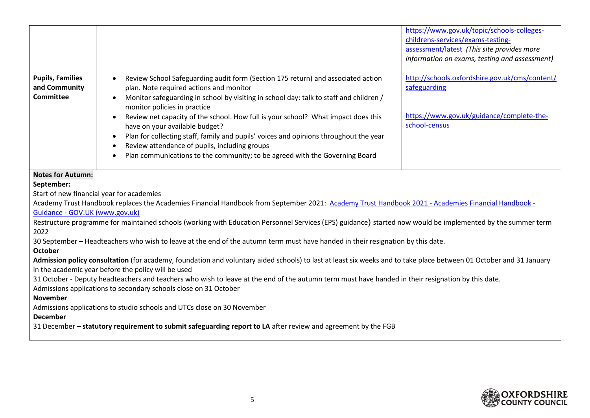|                                                                                                                                                                                                                                                                                                                                                                                                                                                                                                                                                                                                                                    |                                                                                                                                                                                                                                                                                                                                                                                                                                                                                                                                                                                                                    | https://www.gov.uk/topic/schools-colleges-<br>childrens-services/exams-testing-<br>assessment/latest (This site provides more<br>information on exams, testing and assessment) |
|------------------------------------------------------------------------------------------------------------------------------------------------------------------------------------------------------------------------------------------------------------------------------------------------------------------------------------------------------------------------------------------------------------------------------------------------------------------------------------------------------------------------------------------------------------------------------------------------------------------------------------|--------------------------------------------------------------------------------------------------------------------------------------------------------------------------------------------------------------------------------------------------------------------------------------------------------------------------------------------------------------------------------------------------------------------------------------------------------------------------------------------------------------------------------------------------------------------------------------------------------------------|--------------------------------------------------------------------------------------------------------------------------------------------------------------------------------|
| <b>Pupils, Families</b><br>and Community<br><b>Committee</b>                                                                                                                                                                                                                                                                                                                                                                                                                                                                                                                                                                       | Review School Safeguarding audit form (Section 175 return) and associated action<br>$\bullet$<br>plan. Note required actions and monitor<br>Monitor safeguarding in school by visiting in school day: talk to staff and children /<br>monitor policies in practice<br>Review net capacity of the school. How full is your school? What impact does this<br>have on your available budget?<br>Plan for collecting staff, family and pupils' voices and opinions throughout the year<br>Review attendance of pupils, including groups<br>Plan communications to the community; to be agreed with the Governing Board | http://schools.oxfordshire.gov.uk/cms/content/<br>safeguarding<br>https://www.gov.uk/guidance/complete-the-<br>school-census                                                   |
| <b>Notes for Autumn:</b><br>September:<br>Start of new financial year for academies<br>Academy Trust Handbook replaces the Academies Financial Handbook from September 2021: Academy Trust Handbook 2021 - Academies Financial Handbook -<br>Guidance - GOV.UK (www.gov.uk)<br>Restructure programme for maintained schools (working with Education Personnel Services (EPS) guidance) started now would be implemented by the summer term                                                                                                                                                                                         |                                                                                                                                                                                                                                                                                                                                                                                                                                                                                                                                                                                                                    |                                                                                                                                                                                |
| 2022<br>30 September - Headteachers who wish to leave at the end of the autumn term must have handed in their resignation by this date.<br><b>October</b><br>Admission policy consultation (for academy, foundation and voluntary aided schools) to last at least six weeks and to take place between 01 October and 31 January<br>in the academic year before the policy will be used<br>31 October - Deputy headteachers and teachers who wish to leave at the end of the autumn term must have handed in their resignation by this date.<br>Admissions applications to secondary schools close on 31 October<br><b>November</b> |                                                                                                                                                                                                                                                                                                                                                                                                                                                                                                                                                                                                                    |                                                                                                                                                                                |
| Admissions applications to studio schools and UTCs close on 30 November<br><b>December</b><br>31 December - statutory requirement to submit safeguarding report to LA after review and agreement by the FGB                                                                                                                                                                                                                                                                                                                                                                                                                        |                                                                                                                                                                                                                                                                                                                                                                                                                                                                                                                                                                                                                    |                                                                                                                                                                                |

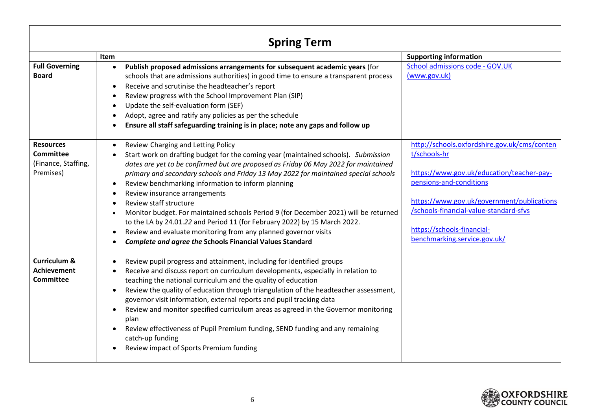| <b>Spring Term</b>                                                |                                                                                                                                                                                                                                                                                                                                                                                                                                                                                                                                                                                                                                                                                                                                                 |                                                                                                                                                                                                                                                                                            |  |
|-------------------------------------------------------------------|-------------------------------------------------------------------------------------------------------------------------------------------------------------------------------------------------------------------------------------------------------------------------------------------------------------------------------------------------------------------------------------------------------------------------------------------------------------------------------------------------------------------------------------------------------------------------------------------------------------------------------------------------------------------------------------------------------------------------------------------------|--------------------------------------------------------------------------------------------------------------------------------------------------------------------------------------------------------------------------------------------------------------------------------------------|--|
|                                                                   | Item                                                                                                                                                                                                                                                                                                                                                                                                                                                                                                                                                                                                                                                                                                                                            | <b>Supporting information</b>                                                                                                                                                                                                                                                              |  |
| <b>Full Governing</b><br><b>Board</b>                             | Publish proposed admissions arrangements for subsequent academic years (for<br>$\bullet$<br>schools that are admissions authorities) in good time to ensure a transparent process<br>Receive and scrutinise the headteacher's report<br>Review progress with the School Improvement Plan (SIP)<br>Update the self-evaluation form (SEF)<br>Adopt, agree and ratify any policies as per the schedule<br>Ensure all staff safeguarding training is in place; note any gaps and follow up                                                                                                                                                                                                                                                          | School admissions code - GOV.UK<br>(www.gov.uk)                                                                                                                                                                                                                                            |  |
| <b>Resources</b><br>Committee<br>(Finance, Staffing,<br>Premises) | Review Charging and Letting Policy<br>$\bullet$<br>Start work on drafting budget for the coming year (maintained schools). Submission<br>dates are yet to be confirmed but are proposed as Friday 06 May 2022 for maintained<br>primary and secondary schools and Friday 13 May 2022 for maintained special schools<br>Review benchmarking information to inform planning<br>Review insurance arrangements<br>Review staff structure<br>Monitor budget. For maintained schools Period 9 (for December 2021) will be returned<br>to the LA by 24.01.22 and Period 11 (for February 2022) by 15 March 2022.<br>Review and evaluate monitoring from any planned governor visits<br><b>Complete and agree the Schools Financial Values Standard</b> | http://schools.oxfordshire.gov.uk/cms/conten<br>t/schools-hr<br>https://www.gov.uk/education/teacher-pay-<br>pensions-and-conditions<br>https://www.gov.uk/government/publications<br>/schools-financial-value-standard-sfvs<br>https://schools-financial-<br>benchmarking.service.gov.uk/ |  |
| <b>Curriculum &amp;</b><br><b>Achievement</b><br>Committee        | Review pupil progress and attainment, including for identified groups<br>Receive and discuss report on curriculum developments, especially in relation to<br>teaching the national curriculum and the quality of education<br>Review the quality of education through triangulation of the headteacher assessment,<br>governor visit information, external reports and pupil tracking data<br>Review and monitor specified curriculum areas as agreed in the Governor monitoring<br>plan<br>Review effectiveness of Pupil Premium funding, SEND funding and any remaining<br>catch-up funding<br>Review impact of Sports Premium funding                                                                                                        |                                                                                                                                                                                                                                                                                            |  |

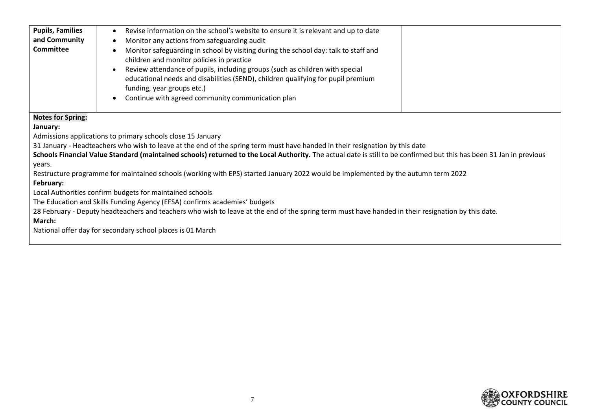| <b>Pupils, Families</b><br>and Community<br><b>Committee</b>          | Revise information on the school's website to ensure it is relevant and up to date<br>Monitor any actions from safeguarding audit<br>Monitor safeguarding in school by visiting during the school day: talk to staff and<br>children and monitor policies in practice<br>Review attendance of pupils, including groups (such as children with special<br>educational needs and disabilities (SEND), children qualifying for pupil premium<br>funding, year groups etc.)<br>Continue with agreed community communication plan                                                                                                                                                                                                                                                                                                                                           |
|-----------------------------------------------------------------------|------------------------------------------------------------------------------------------------------------------------------------------------------------------------------------------------------------------------------------------------------------------------------------------------------------------------------------------------------------------------------------------------------------------------------------------------------------------------------------------------------------------------------------------------------------------------------------------------------------------------------------------------------------------------------------------------------------------------------------------------------------------------------------------------------------------------------------------------------------------------|
| <b>Notes for Spring:</b><br>January:<br>years.<br>February:<br>March: | Admissions applications to primary schools close 15 January<br>31 January - Headteachers who wish to leave at the end of the spring term must have handed in their resignation by this date<br>Schools Financial Value Standard (maintained schools) returned to the Local Authority. The actual date is still to be confirmed but this has been 31 Jan in previous<br>Restructure programme for maintained schools (working with EPS) started January 2022 would be implemented by the autumn term 2022<br>Local Authorities confirm budgets for maintained schools<br>The Education and Skills Funding Agency (EFSA) confirms academies' budgets<br>28 February - Deputy headteachers and teachers who wish to leave at the end of the spring term must have handed in their resignation by this date.<br>National offer day for secondary school places is 01 March |

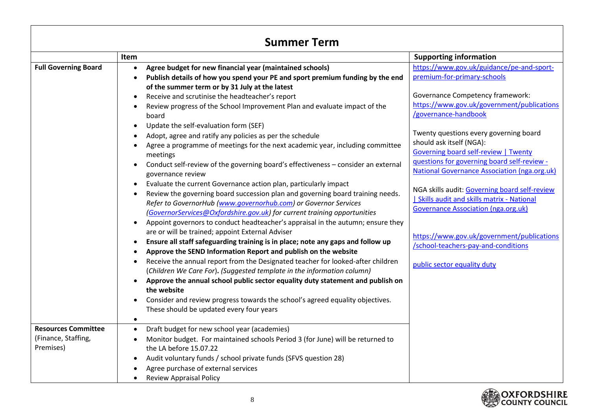| <b>Summer Term</b>               |                                                                                                                                                                                                                                                                                                                                                                                                                                                                                                                                                                                                                                                                                                                                                                                                                                                                                                                                                                                                                                                                                                                                                                                                                                                                                                                                                                                                                                                                                                                                                                                                                                                                                                                                                                                |                                                                                                                                                                                                                                                                                                                                                                                                                                                                                                                                                                                                                                                                                             |  |
|----------------------------------|--------------------------------------------------------------------------------------------------------------------------------------------------------------------------------------------------------------------------------------------------------------------------------------------------------------------------------------------------------------------------------------------------------------------------------------------------------------------------------------------------------------------------------------------------------------------------------------------------------------------------------------------------------------------------------------------------------------------------------------------------------------------------------------------------------------------------------------------------------------------------------------------------------------------------------------------------------------------------------------------------------------------------------------------------------------------------------------------------------------------------------------------------------------------------------------------------------------------------------------------------------------------------------------------------------------------------------------------------------------------------------------------------------------------------------------------------------------------------------------------------------------------------------------------------------------------------------------------------------------------------------------------------------------------------------------------------------------------------------------------------------------------------------|---------------------------------------------------------------------------------------------------------------------------------------------------------------------------------------------------------------------------------------------------------------------------------------------------------------------------------------------------------------------------------------------------------------------------------------------------------------------------------------------------------------------------------------------------------------------------------------------------------------------------------------------------------------------------------------------|--|
|                                  | Item                                                                                                                                                                                                                                                                                                                                                                                                                                                                                                                                                                                                                                                                                                                                                                                                                                                                                                                                                                                                                                                                                                                                                                                                                                                                                                                                                                                                                                                                                                                                                                                                                                                                                                                                                                           | <b>Supporting information</b>                                                                                                                                                                                                                                                                                                                                                                                                                                                                                                                                                                                                                                                               |  |
| <b>Full Governing Board</b>      | Agree budget for new financial year (maintained schools)<br>$\bullet$<br>Publish details of how you spend your PE and sport premium funding by the end<br>$\bullet$<br>of the summer term or by 31 July at the latest<br>Receive and scrutinise the headteacher's report<br>$\bullet$<br>Review progress of the School Improvement Plan and evaluate impact of the<br>board<br>Update the self-evaluation form (SEF)<br>$\bullet$<br>Adopt, agree and ratify any policies as per the schedule<br>Agree a programme of meetings for the next academic year, including committee<br>meetings<br>Conduct self-review of the governing board's effectiveness - consider an external<br>governance review<br>Evaluate the current Governance action plan, particularly impact<br>$\bullet$<br>Review the governing board succession plan and governing board training needs.<br>Refer to GovernorHub (www.governorhub.com) or Governor Services<br>(GovernorServices@Oxfordshire.gov.uk) for current training opportunities<br>Appoint governors to conduct headteacher's appraisal in the autumn; ensure they<br>$\bullet$<br>are or will be trained; appoint External Adviser<br>Ensure all staff safeguarding training is in place; note any gaps and follow up<br>$\bullet$<br>Approve the SEND Information Report and publish on the website<br>Receive the annual report from the Designated teacher for looked-after children<br>(Children We Care For). (Suggested template in the information column)<br>Approve the annual school public sector equality duty statement and publish on<br>$\bullet$<br>the website<br>Consider and review progress towards the school's agreed equality objectives.<br>$\bullet$<br>These should be updated every four years<br>$\bullet$ | https://www.gov.uk/guidance/pe-and-sport-<br>premium-for-primary-schools<br><b>Governance Competency framework:</b><br>https://www.gov.uk/government/publications<br>/governance-handbook<br>Twenty questions every governing board<br>should ask itself (NGA):<br><b>Governing board self-review   Twenty</b><br>questions for governing board self-review -<br><b>National Governance Association (nga.org.uk)</b><br>NGA skills audit: Governing board self-review<br><b>Skills audit and skills matrix - National</b><br><b>Governance Association (nga.org.uk)</b><br>https://www.gov.uk/government/publications<br>/school-teachers-pay-and-conditions<br>public sector equality duty |  |
| <b>Resources Committee</b>       | Draft budget for new school year (academies)<br>$\bullet$                                                                                                                                                                                                                                                                                                                                                                                                                                                                                                                                                                                                                                                                                                                                                                                                                                                                                                                                                                                                                                                                                                                                                                                                                                                                                                                                                                                                                                                                                                                                                                                                                                                                                                                      |                                                                                                                                                                                                                                                                                                                                                                                                                                                                                                                                                                                                                                                                                             |  |
| (Finance, Staffing,<br>Premises) | Monitor budget. For maintained schools Period 3 (for June) will be returned to<br>$\bullet$<br>the LA before 15.07.22                                                                                                                                                                                                                                                                                                                                                                                                                                                                                                                                                                                                                                                                                                                                                                                                                                                                                                                                                                                                                                                                                                                                                                                                                                                                                                                                                                                                                                                                                                                                                                                                                                                          |                                                                                                                                                                                                                                                                                                                                                                                                                                                                                                                                                                                                                                                                                             |  |
|                                  | Audit voluntary funds / school private funds (SFVS question 28)<br>$\bullet$                                                                                                                                                                                                                                                                                                                                                                                                                                                                                                                                                                                                                                                                                                                                                                                                                                                                                                                                                                                                                                                                                                                                                                                                                                                                                                                                                                                                                                                                                                                                                                                                                                                                                                   |                                                                                                                                                                                                                                                                                                                                                                                                                                                                                                                                                                                                                                                                                             |  |
|                                  | Agree purchase of external services                                                                                                                                                                                                                                                                                                                                                                                                                                                                                                                                                                                                                                                                                                                                                                                                                                                                                                                                                                                                                                                                                                                                                                                                                                                                                                                                                                                                                                                                                                                                                                                                                                                                                                                                            |                                                                                                                                                                                                                                                                                                                                                                                                                                                                                                                                                                                                                                                                                             |  |
|                                  | <b>Review Appraisal Policy</b>                                                                                                                                                                                                                                                                                                                                                                                                                                                                                                                                                                                                                                                                                                                                                                                                                                                                                                                                                                                                                                                                                                                                                                                                                                                                                                                                                                                                                                                                                                                                                                                                                                                                                                                                                 |                                                                                                                                                                                                                                                                                                                                                                                                                                                                                                                                                                                                                                                                                             |  |

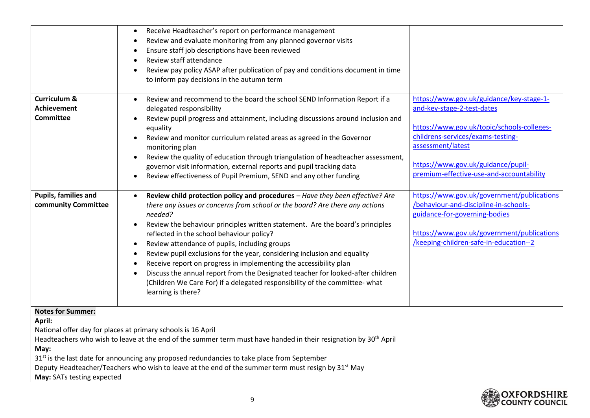|                                                                                                                 | Receive Headteacher's report on performance management<br>Review and evaluate monitoring from any planned governor visits<br>$\bullet$<br>Ensure staff job descriptions have been reviewed<br>Review staff attendance<br>Review pay policy ASAP after publication of pay and conditions document in time<br>$\bullet$<br>to inform pay decisions in the autumn term                                                                                                                                                                                                                                                                                                                                                                         |                                                                                                                                                                                                              |
|-----------------------------------------------------------------------------------------------------------------|---------------------------------------------------------------------------------------------------------------------------------------------------------------------------------------------------------------------------------------------------------------------------------------------------------------------------------------------------------------------------------------------------------------------------------------------------------------------------------------------------------------------------------------------------------------------------------------------------------------------------------------------------------------------------------------------------------------------------------------------|--------------------------------------------------------------------------------------------------------------------------------------------------------------------------------------------------------------|
| <b>Curriculum &amp;</b>                                                                                         | Review and recommend to the board the school SEND Information Report if a<br>$\bullet$                                                                                                                                                                                                                                                                                                                                                                                                                                                                                                                                                                                                                                                      | https://www.gov.uk/guidance/key-stage-1-                                                                                                                                                                     |
| <b>Achievement</b>                                                                                              | delegated responsibility                                                                                                                                                                                                                                                                                                                                                                                                                                                                                                                                                                                                                                                                                                                    | and-key-stage-2-test-dates                                                                                                                                                                                   |
| <b>Committee</b>                                                                                                | Review pupil progress and attainment, including discussions around inclusion and<br>$\bullet$<br>equality                                                                                                                                                                                                                                                                                                                                                                                                                                                                                                                                                                                                                                   | https://www.gov.uk/topic/schools-colleges-                                                                                                                                                                   |
|                                                                                                                 | Review and monitor curriculum related areas as agreed in the Governor<br>$\bullet$                                                                                                                                                                                                                                                                                                                                                                                                                                                                                                                                                                                                                                                          | childrens-services/exams-testing-                                                                                                                                                                            |
|                                                                                                                 | monitoring plan                                                                                                                                                                                                                                                                                                                                                                                                                                                                                                                                                                                                                                                                                                                             | assessment/latest                                                                                                                                                                                            |
|                                                                                                                 | Review the quality of education through triangulation of headteacher assessment,<br>$\bullet$                                                                                                                                                                                                                                                                                                                                                                                                                                                                                                                                                                                                                                               |                                                                                                                                                                                                              |
|                                                                                                                 | governor visit information, external reports and pupil tracking data                                                                                                                                                                                                                                                                                                                                                                                                                                                                                                                                                                                                                                                                        | https://www.gov.uk/guidance/pupil-<br>premium-effective-use-and-accountability                                                                                                                               |
|                                                                                                                 | Review effectiveness of Pupil Premium, SEND and any other funding<br>$\bullet$                                                                                                                                                                                                                                                                                                                                                                                                                                                                                                                                                                                                                                                              |                                                                                                                                                                                                              |
| Pupils, families and<br>community Committee                                                                     | Review child protection policy and procedures - Have they been effective? Are<br>there any issues or concerns from school or the board? Are there any actions<br>needed?<br>Review the behaviour principles written statement. Are the board's principles<br>$\bullet$<br>reflected in the school behaviour policy?<br>Review attendance of pupils, including groups<br>$\bullet$<br>Review pupil exclusions for the year, considering inclusion and equality<br>$\bullet$<br>Receive report on progress in implementing the accessibility plan<br>$\bullet$<br>Discuss the annual report from the Designated teacher for looked-after children<br>$\bullet$<br>(Children We Care For) if a delegated responsibility of the committee- what | https://www.gov.uk/government/publications<br>/behaviour-and-discipline-in-schools-<br>guidance-for-governing-bodies<br>https://www.gov.uk/government/publications<br>/keeping-children-safe-in-education--2 |
|                                                                                                                 | learning is there?                                                                                                                                                                                                                                                                                                                                                                                                                                                                                                                                                                                                                                                                                                                          |                                                                                                                                                                                                              |
| <b>Notes for Summer:</b>                                                                                        |                                                                                                                                                                                                                                                                                                                                                                                                                                                                                                                                                                                                                                                                                                                                             |                                                                                                                                                                                                              |
| April:                                                                                                          | National offer day for places at primary schools is 16 April                                                                                                                                                                                                                                                                                                                                                                                                                                                                                                                                                                                                                                                                                |                                                                                                                                                                                                              |
|                                                                                                                 | Headteachers who wish to leave at the end of the summer term must have handed in their resignation by 30 <sup>th</sup> April                                                                                                                                                                                                                                                                                                                                                                                                                                                                                                                                                                                                                |                                                                                                                                                                                                              |
| May:                                                                                                            |                                                                                                                                                                                                                                                                                                                                                                                                                                                                                                                                                                                                                                                                                                                                             |                                                                                                                                                                                                              |
| 31 <sup>st</sup> is the last date for announcing any proposed redundancies to take place from September         |                                                                                                                                                                                                                                                                                                                                                                                                                                                                                                                                                                                                                                                                                                                                             |                                                                                                                                                                                                              |
| Deputy Headteacher/Teachers who wish to leave at the end of the summer term must resign by 31 <sup>st</sup> May |                                                                                                                                                                                                                                                                                                                                                                                                                                                                                                                                                                                                                                                                                                                                             |                                                                                                                                                                                                              |
| May: SATs testing expected                                                                                      |                                                                                                                                                                                                                                                                                                                                                                                                                                                                                                                                                                                                                                                                                                                                             |                                                                                                                                                                                                              |

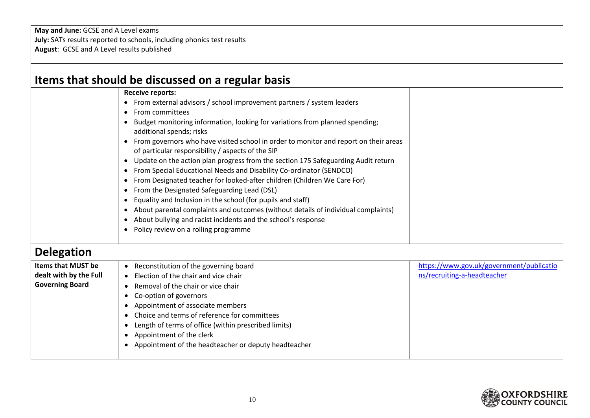**May and June:** GCSE and A Level exams **July:** SATs results reported to schools, including phonics test results **August**: GCSE and A Level results published

|                                                                               | Items that should be discussed on a regular basis                                                                                                                                                                                                                                                                                                                                                                                                                                                                                                                                                                                                                                                                                                                                                                                                                                                                                                                                                                                                                                 |                                                                         |
|-------------------------------------------------------------------------------|-----------------------------------------------------------------------------------------------------------------------------------------------------------------------------------------------------------------------------------------------------------------------------------------------------------------------------------------------------------------------------------------------------------------------------------------------------------------------------------------------------------------------------------------------------------------------------------------------------------------------------------------------------------------------------------------------------------------------------------------------------------------------------------------------------------------------------------------------------------------------------------------------------------------------------------------------------------------------------------------------------------------------------------------------------------------------------------|-------------------------------------------------------------------------|
|                                                                               | <b>Receive reports:</b><br>• From external advisors / school improvement partners / system leaders<br>From committees<br>$\bullet$<br>Budget monitoring information, looking for variations from planned spending;<br>$\bullet$<br>additional spends; risks<br>From governors who have visited school in order to monitor and report on their areas<br>$\bullet$<br>of particular responsibility / aspects of the SIP<br>Update on the action plan progress from the section 175 Safeguarding Audit return<br>$\bullet$<br>From Special Educational Needs and Disability Co-ordinator (SENDCO)<br>$\bullet$<br>From Designated teacher for looked-after children (Children We Care For)<br>$\bullet$<br>From the Designated Safeguarding Lead (DSL)<br>$\bullet$<br>Equality and Inclusion in the school (for pupils and staff)<br>$\bullet$<br>About parental complaints and outcomes (without details of individual complaints)<br>$\bullet$<br>About bullying and racist incidents and the school's response<br>$\bullet$<br>Policy review on a rolling programme<br>$\bullet$ |                                                                         |
| <b>Delegation</b>                                                             |                                                                                                                                                                                                                                                                                                                                                                                                                                                                                                                                                                                                                                                                                                                                                                                                                                                                                                                                                                                                                                                                                   |                                                                         |
| <b>Items that MUST be</b><br>dealt with by the Full<br><b>Governing Board</b> | • Reconstitution of the governing board<br>Election of the chair and vice chair<br>Removal of the chair or vice chair<br>$\bullet$<br>Co-option of governors<br>$\bullet$<br>Appointment of associate members<br>$\bullet$<br>Choice and terms of reference for committees<br>$\bullet$<br>Length of terms of office (within prescribed limits)<br>$\bullet$<br>Appointment of the clerk<br>$\bullet$<br>Appointment of the headteacher or deputy headteacher                                                                                                                                                                                                                                                                                                                                                                                                                                                                                                                                                                                                                     | https://www.gov.uk/government/publicatio<br>ns/recruiting-a-headteacher |